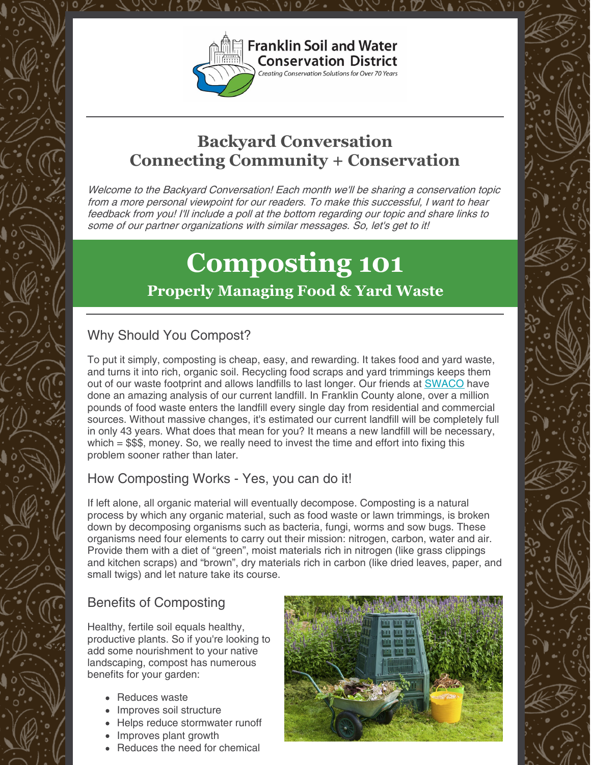

## **Backyard Conversation Connecting Community + Conservation**

Welcome to the Backyard Conversation! Each month we'll be sharing <sup>a</sup> conservation topic from <sup>a</sup> more personal viewpoint for our readers. To make this successful, I want to hear feedback from you! I'll include <sup>a</sup> poll at the bottom regarding our topic and share links to some of our partner organizations with similar messages. So, let's get to it!

# **Composting 101 Properly Managing Food & Yard Waste**

### Why Should You Compost?

To put it simply, composting is cheap, easy, and rewarding. It takes food and yard waste, and turns it into rich, organic soil. Recycling food scraps and yard trimmings keeps them out of our waste footprint and allows landfills to last longer. Our friends at [SWACO](https://www.swaco.org/CivicAlerts.aspx?AID=115) have done an amazing analysis of our current landfill. In Franklin County alone, over a million pounds of food waste enters the landfill every single day from residential and commercial sources. Without massive changes, it's estimated our current landfill will be completely full in only 43 years. What does that mean for you? It means a new landfill will be necessary, which  $= $$ \$\$, money. So, we really need to invest the time and effort into fixing this problem sooner rather than later.

### How Composting Works - Yes, you can do it!

If left alone, all organic material will eventually decompose. Composting is a natural process by which any organic material, such as food waste or lawn trimmings, is broken down by decomposing organisms such as bacteria, fungi, worms and sow bugs. These organisms need four elements to carry out their mission: nitrogen, carbon, water and air. Provide them with a diet of "green", moist materials rich in nitrogen (like grass clippings and kitchen scraps) and "brown", dry materials rich in carbon (like dried leaves, paper, and small twigs) and let nature take its course.

### Benefits of Composting

Healthy, fertile soil equals healthy, productive plants. So if you're looking to add some nourishment to your native landscaping, compost has numerous benefits for your garden:

- Reduces waste
- Improves soil structure
- Helps reduce stormwater runoff
- Improves plant growth
- Reduces the need for chemical

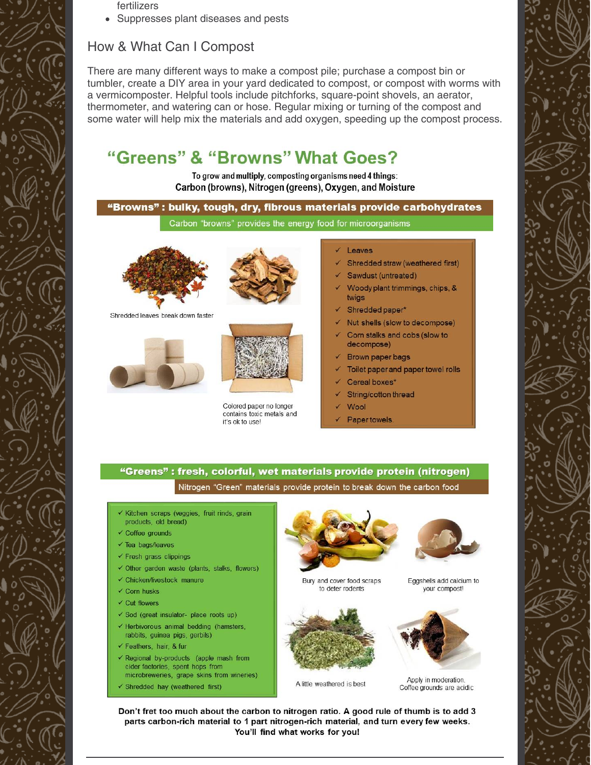fertilizers

• Suppresses plant diseases and pests

### How & What Can I Compost

There are many different ways to make a compost pile; purchase a compost bin or tumbler, create a DIY area in your yard dedicated to compost, or compost with worms with a vermicomposter. Helpful tools include pitchforks, square-point shovels, an aerator, thermometer, and watering can or hose. Regular mixing or turning of the compost and some water will help mix the materials and add oxygen, speeding up the compost process.

### "Greens" & "Browns" What Goes?

To grow and multiply, composting organisms need 4 things: Carbon (browns), Nitrogen (greens), Oxygen, and Moisture

### "Browns" : bulky, tough, dry, fibrous materials provide carbohydrates

Carbon "browns" provides the energy food for microorganisms



Shredded leaves break down faster







Colored paper no longer contains toxic metals and it's ok to use!

#### Leaves

- Shredded straw (weathered first)
- Sawdust (untreated)
- Woody plant trimmings, chips, & twigs
- Shredded paper\*
- Nut shells (slow to decompose)
- Corn stalks and cobs (slow to decompose)
- Brown paper bags
- Toilet paper and paper towel rolls
- Cereal boxes\*
- String/cotton thread
- Wool
- Paper towels.

### "Greens": fresh, colorful, wet materials provide protein (nitrogen)

Nitrogen "Green" materials provide protein to break down the carbon food

- Kitchen scraps (veggies, fruit rinds, grain products, old bread)
- ← Coffee grounds
- $\checkmark$  Tea bags/leaves
- $\checkmark$  Fresh grass clippings
- √ Other garden waste (plants, stalks, flowers)
- ← Chicken/livestock manure
- $\checkmark$  Corn husks
- $\checkmark$  Cut flowers
- √ Sod (great insulator- place roots up) ← Herbivorous animal bedding (hamsters,
- rabbits, guinea pigs, gerbils) Geathers, hair, & fur
- 
- Regional by-products (apple mash from cider factories, spent hops from microbreweries, grape skins from wineries)
- √ Shredded hay (weathered first)



Bury and cover food scraps to deter rodents



vour compost!



Eggshells add calcium to

Apply in moderation. A little weathered is best Coffee grounds are acidic

Don't fret too much about the carbon to nitrogen ratio. A good rule of thumb is to add 3 parts carbon-rich material to 1 part nitrogen-rich material, and turn every few weeks. You'll find what works for you!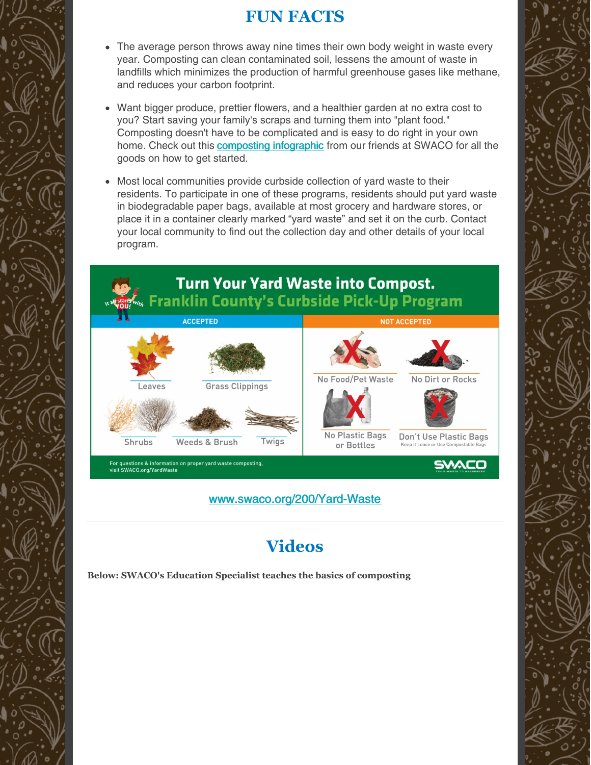### **FUN FACTS**

- The average person throws away nine times their own body weight in waste every year. Composting can clean contaminated soil, lessens the amount of waste in landfills which minimizes the production of harmful greenhouse gases like methane, and reduces your carbon footprint.
- Want bigger produce, prettier flowers, and a healthier garden at no extra cost to you? Start saving your family's scraps and turning them into "plant food." Composting doesn't have to be complicated and is easy to do right in your own home. Check out this **[composting](https://www.swaco.org/DocumentCenter/View/919/Composting-Infographic?bidId=) infographic** from our friends at SWACO for all the goods on how to get started.
- Most local communities provide curbside collection of yard waste to their residents. To participate in one of these programs, residents should put yard waste in biodegradable paper bags, available at most grocery and hardware stores, or place it in a container clearly marked "yard waste" and set it on the curb. Contact your local community to find out the collection day and other details of your local program.



[www.swaco.org/200/Yard-Waste](http://www.swaco.org/200/Yard-Waste)

# **Videos**

**Below: SWACO's Education Specialist teaches the basics of composting**